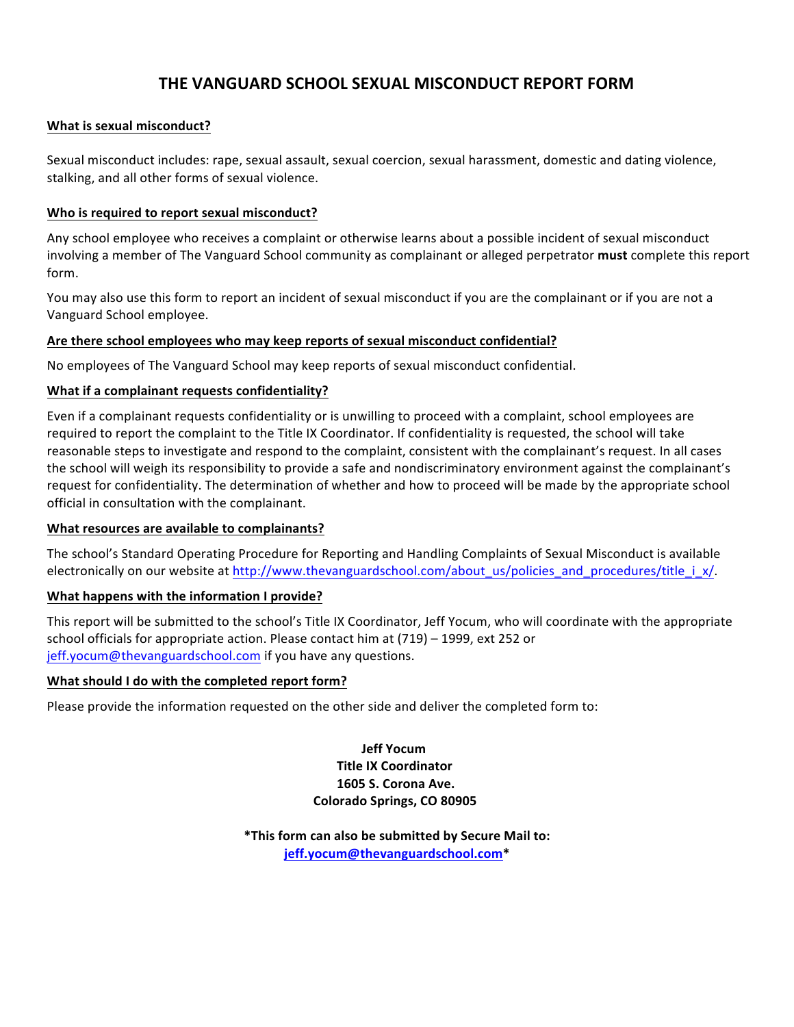# **THE VANGUARD SCHOOL SEXUAL MISCONDUCT REPORT FORM**

### **What is sexual misconduct?**

Sexual misconduct includes: rape, sexual assault, sexual coercion, sexual harassment, domestic and dating violence, stalking, and all other forms of sexual violence.

#### Who is required to report sexual misconduct?

Any school employee who receives a complaint or otherwise learns about a possible incident of sexual misconduct involving a member of The Vanguard School community as complainant or alleged perpetrator must complete this report form. 

You may also use this form to report an incident of sexual misconduct if you are the complainant or if you are not a Vanguard School employee.

#### Are there school employees who may keep reports of sexual misconduct confidential?

No employees of The Vanguard School may keep reports of sexual misconduct confidential.

#### **What if a complainant requests confidentiality?**

Even if a complainant requests confidentiality or is unwilling to proceed with a complaint, school employees are required to report the complaint to the Title IX Coordinator. If confidentiality is requested, the school will take reasonable steps to investigate and respond to the complaint, consistent with the complainant's request. In all cases the school will weigh its responsibility to provide a safe and nondiscriminatory environment against the complainant's request for confidentiality. The determination of whether and how to proceed will be made by the appropriate school official in consultation with the complainant.

#### **What resources are available to complainants?**

The school's Standard Operating Procedure for Reporting and Handling Complaints of Sexual Misconduct is available electronically on our website at http://www.thevanguardschool.com/about\_us/policies\_and\_procedures/title\_i\_x/.

#### **What happens with the information I provide?**

This report will be submitted to the school's Title IX Coordinator, Jeff Yocum, who will coordinate with the appropriate school officials for appropriate action. Please contact him at  $(719)$  – 1999, ext 252 or jeff.yocum@thevanguardschool.com if you have any questions.

#### **What should I do with the completed report form?**

Please provide the information requested on the other side and deliver the completed form to:

**Jeff Yocum Title IX Coordinator 1605 S. Corona Ave. Colorado Springs, CO 80905**

\*This form can also be submitted by Secure Mail to: **jeff.yocum@thevanguardschool.com\***